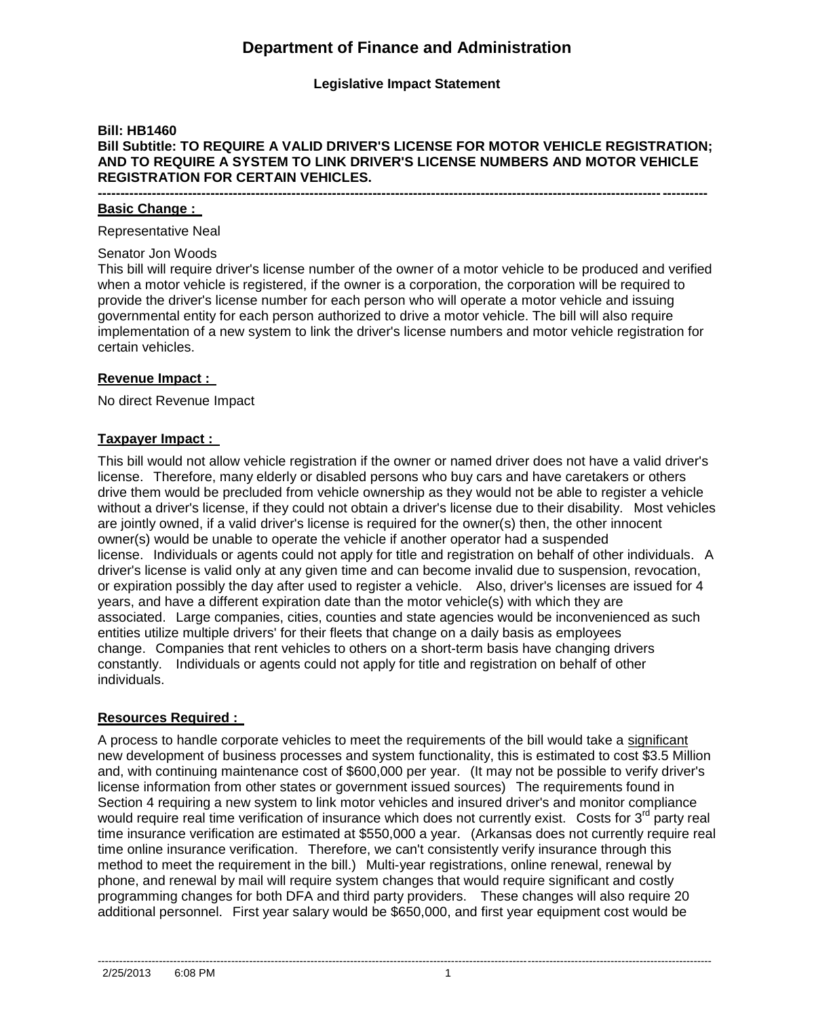# **Department of Finance and Administration**

**Legislative Impact Statement**

## **Bill: HB1460 Bill Subtitle: TO REQUIRE A VALID DRIVER'S LICENSE FOR MOTOR VEHICLE REGISTRATION; AND TO REQUIRE A SYSTEM TO LINK DRIVER'S LICENSE NUMBERS AND MOTOR VEHICLE REGISTRATION FOR CERTAIN VEHICLES.**

**---------------------------------------------------------------------------------------------------------------------------------------**

#### **Basic Change :**

Representative Neal

#### Senator Jon Woods

This bill will require driver's license number of the owner of a motor vehicle to be produced and verified when a motor vehicle is registered, if the owner is a corporation, the corporation will be required to provide the driver's license number for each person who will operate a motor vehicle and issuing governmental entity for each person authorized to drive a motor vehicle. The bill will also require implementation of a new system to link the driver's license numbers and motor vehicle registration for certain vehicles.

#### **Revenue Impact :**

No direct Revenue Impact

#### **Taxpayer Impact :**

This bill would not allow vehicle registration if the owner or named driver does not have a valid driver's license. Therefore, many elderly or disabled persons who buy cars and have caretakers or others drive them would be precluded from vehicle ownership as they would not be able to register a vehicle without a driver's license, if they could not obtain a driver's license due to their disability. Most vehicles are jointly owned, if a valid driver's license is required for the owner(s) then, the other innocent owner(s) would be unable to operate the vehicle if another operator had a suspended license. Individuals or agents could not apply for title and registration on behalf of other individuals. A driver's license is valid only at any given time and can become invalid due to suspension, revocation, or expiration possibly the day after used to register a vehicle. Also, driver's licenses are issued for 4 years, and have a different expiration date than the motor vehicle(s) with which they are associated. Large companies, cities, counties and state agencies would be inconvenienced as such entities utilize multiple drivers' for their fleets that change on a daily basis as employees change. Companies that rent vehicles to others on a short-term basis have changing drivers constantly. Individuals or agents could not apply for title and registration on behalf of other individuals.

## **Resources Required :**

A process to handle corporate vehicles to meet the requirements of the bill would take a significant new development of business processes and system functionality, this is estimated to cost \$3.5 Million and, with continuing maintenance cost of \$600,000 per year. (It may not be possible to verify driver's license information from other states or government issued sources) The requirements found in Section 4 requiring a new system to link motor vehicles and insured driver's and monitor compliance would require real time verification of insurance which does not currently exist. Costs for  $3<sup>rd</sup>$  party real time insurance verification are estimated at \$550,000 a year. (Arkansas does not currently require real time online insurance verification. Therefore, we can't consistently verify insurance through this method to meet the requirement in the bill.) Multi-year registrations, online renewal, renewal by phone, and renewal by mail will require system changes that would require significant and costly programming changes for both DFA and third party providers. These changes will also require 20 additional personnel. First year salary would be \$650,000, and first year equipment cost would be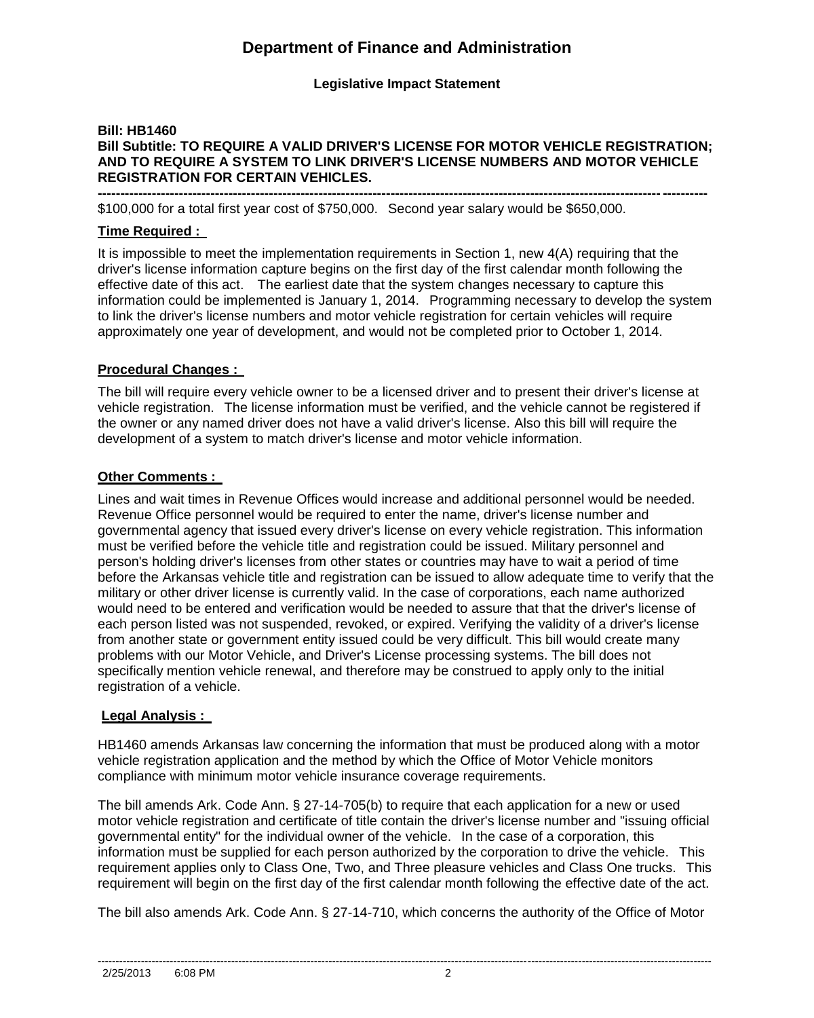# **Department of Finance and Administration**

**Legislative Impact Statement**

# **Bill: HB1460 Bill Subtitle: TO REQUIRE A VALID DRIVER'S LICENSE FOR MOTOR VEHICLE REGISTRATION; AND TO REQUIRE A SYSTEM TO LINK DRIVER'S LICENSE NUMBERS AND MOTOR VEHICLE REGISTRATION FOR CERTAIN VEHICLES.**

**---------------------------------------------------------------------------------------------------------------------------------------** \$100,000 for a total first year cost of \$750,000. Second year salary would be \$650,000.

# **Time Required :**

It is impossible to meet the implementation requirements in Section 1, new 4(A) requiring that the driver's license information capture begins on the first day of the first calendar month following the effective date of this act. The earliest date that the system changes necessary to capture this information could be implemented is January 1, 2014. Programming necessary to develop the system to link the driver's license numbers and motor vehicle registration for certain vehicles will require approximately one year of development, and would not be completed prior to October 1, 2014.

# **Procedural Changes :**

The bill will require every vehicle owner to be a licensed driver and to present their driver's license at vehicle registration. The license information must be verified, and the vehicle cannot be registered if the owner or any named driver does not have a valid driver's license. Also this bill will require the development of a system to match driver's license and motor vehicle information.

## **Other Comments :**

Lines and wait times in Revenue Offices would increase and additional personnel would be needed. Revenue Office personnel would be required to enter the name, driver's license number and governmental agency that issued every driver's license on every vehicle registration. This information must be verified before the vehicle title and registration could be issued. Military personnel and person's holding driver's licenses from other states or countries may have to wait a period of time before the Arkansas vehicle title and registration can be issued to allow adequate time to verify that the military or other driver license is currently valid. In the case of corporations, each name authorized would need to be entered and verification would be needed to assure that that the driver's license of each person listed was not suspended, revoked, or expired. Verifying the validity of a driver's license from another state or government entity issued could be very difficult. This bill would create many problems with our Motor Vehicle, and Driver's License processing systems. The bill does not specifically mention vehicle renewal, and therefore may be construed to apply only to the initial registration of a vehicle.

## **Legal Analysis :**

HB1460 amends Arkansas law concerning the information that must be produced along with a motor vehicle registration application and the method by which the Office of Motor Vehicle monitors compliance with minimum motor vehicle insurance coverage requirements.

The bill amends Ark. Code Ann. § 27-14-705(b) to require that each application for a new or used motor vehicle registration and certificate of title contain the driver's license number and "issuing official governmental entity" for the individual owner of the vehicle. In the case of a corporation, this information must be supplied for each person authorized by the corporation to drive the vehicle. This requirement applies only to Class One, Two, and Three pleasure vehicles and Class One trucks. This requirement will begin on the first day of the first calendar month following the effective date of the act.

The bill also amends Ark. Code Ann. § 27-14-710, which concerns the authority of the Office of Motor

--------------------------------------------------------------------------------------------------------------------------------------------------------------------------